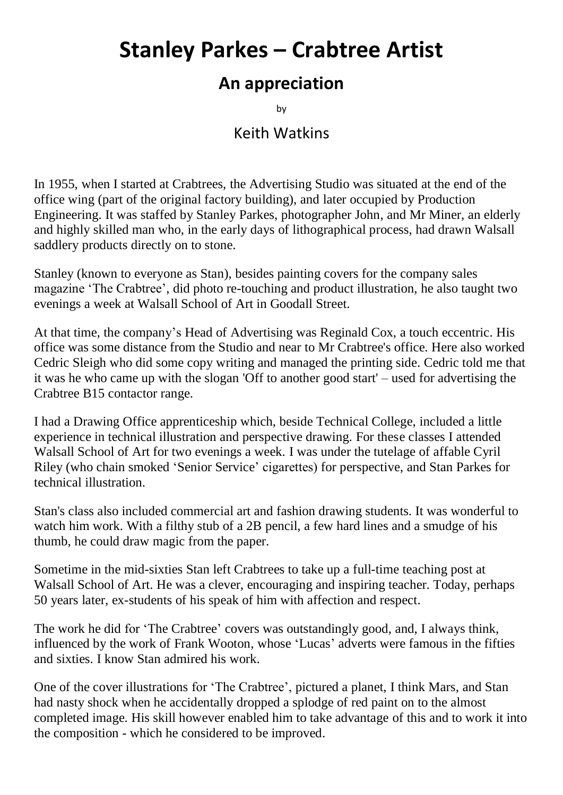## **Stanley Parkes – Crabtree Artist**

## **An appreciation**

by

## Keith Watkins

In 1955, when I started at Crabtrees, the Advertising Studio was situated at the end of the office wing (part of the original factory building), and later occupied by Production Engineering. It was staffed by Stanley Parkes, photographer John, and Mr Miner, an elderly and highly skilled man who, in the early days of lithographical process, had drawn Walsall saddlery products directly on to stone.

Stanley (known to everyone as Stan), besides painting covers for the company sales magazine 'The Crabtree', did photo re-touching and product illustration, he also taught two evenings a week at Walsall School of Art in Goodall Street.

At that time, the company's Head of Advertising was Reginald Cox, a touch eccentric. His office was some distance from the Studio and near to Mr Crabtree's office. Here also worked Cedric Sleigh who did some copy writing and managed the printing side. Cedric told me that it was he who came up with the slogan 'Off to another good start' – used for advertising the Crabtree B15 contactor range.

I had a Drawing Office apprenticeship which, beside Technical College, included a little experience in technical illustration and perspective drawing. For these classes I attended Walsall School of Art for two evenings a week. I was under the tutelage of affable Cyril Riley (who chain smoked 'Senior Service' cigarettes) for perspective, and Stan Parkes for technical illustration.

Stan's class also included commercial art and fashion drawing students. It was wonderful to watch him work. With a filthy stub of a 2B pencil, a few hard lines and a smudge of his thumb, he could draw magic from the paper.

Sometime in the mid-sixties Stan left Crabtrees to take up a full-time teaching post at Walsall School of Art. He was a clever, encouraging and inspiring teacher. Today, perhaps 50 years later, ex-students of his speak of him with affection and respect.

The work he did for 'The Crabtree' covers was outstandingly good, and, I always think, influenced by the work of Frank Wooton, whose 'Lucas' adverts were famous in the fifties and sixties. I know Stan admired his work.

One of the cover illustrations for 'The Crabtree', pictured a planet, I think Mars, and Stan had nasty shock when he accidentally dropped a splodge of red paint on to the almost completed image. His skill however enabled him to take advantage of this and to work it into the composition - which he considered to be improved.